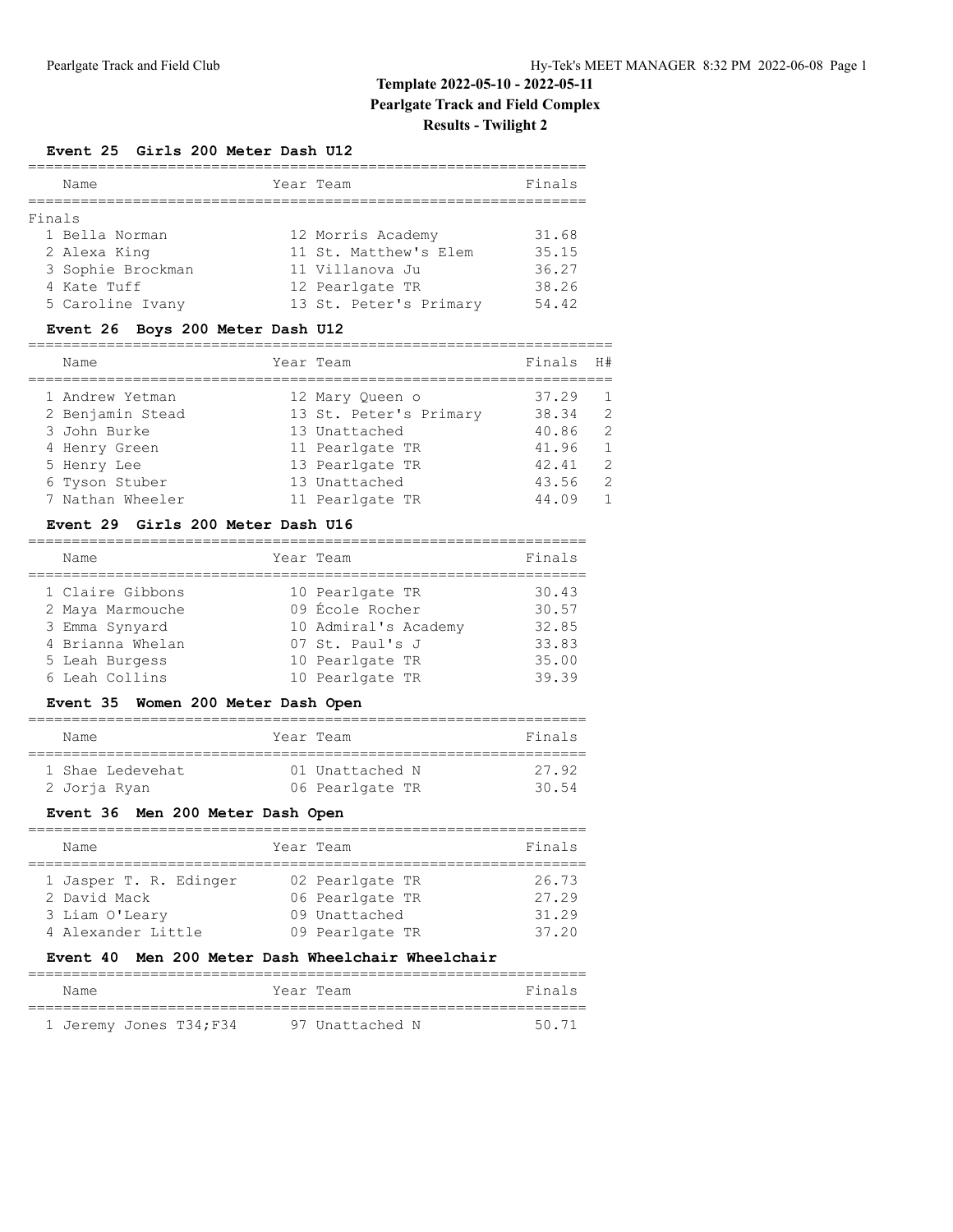# **Template 2022-05-10 - 2022-05-11 Pearlgate Track and Field Complex Results - Twilight 2**

#### **Event 25 Girls 200 Meter Dash U12**

|        | Name                                                | Year Team                                                     | Finals                  |
|--------|-----------------------------------------------------|---------------------------------------------------------------|-------------------------|
| Finals |                                                     |                                                               |                         |
|        | 1 Bella Norman<br>2 Alexa King<br>3 Sophie Brockman | 12 Morris Academy<br>11 St. Matthew's Elem<br>11 Villanova Ju | 31.68<br>35.15<br>36.27 |
|        | 4 Kate Tuff<br>5 Caroline Ivany                     | 12 Pearlgate TR<br>13 St. Peter's Primary                     | 38.26<br>54.42          |

## **Event 26 Boys 200 Meter Dash U12**

| Name             | Year Team              | Finals | H#             |
|------------------|------------------------|--------|----------------|
| 1 Andrew Yetman  | 12 Mary Oueen o        | 37.29  | $\overline{1}$ |
| 2 Benjamin Stead | 13 St. Peter's Primary | 38.34  | 2              |
| 3 John Burke     | 13 Unattached          | 40.86  | 2              |
| 4 Henry Green    | 11 Pearlgate TR        | 41.96  | 1              |
| 5 Henry Lee      | 13 Pearlgate TR        | 42.41  | 2              |
| 6 Tyson Stuber   | 13 Unattached          | 43.56  | 2              |
| 7 Nathan Wheeler | 11 Pearlgate TR        | 44.09  | $\mathbf{1}$   |

#### **Event 29 Girls 200 Meter Dash U16**

| Name             | Year Team            | Finals |
|------------------|----------------------|--------|
| 1 Claire Gibbons | 10 Pearlgate TR      | 30.43  |
| 2 Maya Marmouche | 09 École Rocher      | 30.57  |
| 3 Emma Synyard   | 10 Admiral's Academy | 32.85  |
| 4 Brianna Whelan | 07 St. Paul's J      | 33.83  |
| 5 Leah Burgess   | 10 Pearlgate TR      | 35.00  |
| 6 Leah Collins   | 10 Pearlgate TR      | 39.39  |
|                  |                      |        |

## **Event 35 Women 200 Meter Dash Open**

| Name             | Year Team       | Finals |
|------------------|-----------------|--------|
| 1 Shae Ledevehat | 01 Unattached N | 27 92  |
| 2 Jorja Ryan     | 06 Pearlgate TR | 30 54  |

## **Event 36 Men 200 Meter Dash Open**

| Name                                                                           | Year Team                                                              | Finals                           |
|--------------------------------------------------------------------------------|------------------------------------------------------------------------|----------------------------------|
| 1 Jasper T. R. Edinger<br>2 David Mack<br>3 Liam O'Leary<br>4 Alexander Little | 02 Pearlgate TR<br>06 Pearlgate TR<br>09 Unattached<br>09 Pearlgate TR | 26.73<br>27.29<br>31.29<br>37.20 |

## **Event 40 Men 200 Meter Dash Wheelchair Wheelchair**

| Name |                        | Year Team       |  | Finals |
|------|------------------------|-----------------|--|--------|
|      |                        |                 |  |        |
|      | 1 Jeremy Jones T34;F34 | 97 Unattached N |  | 50.71  |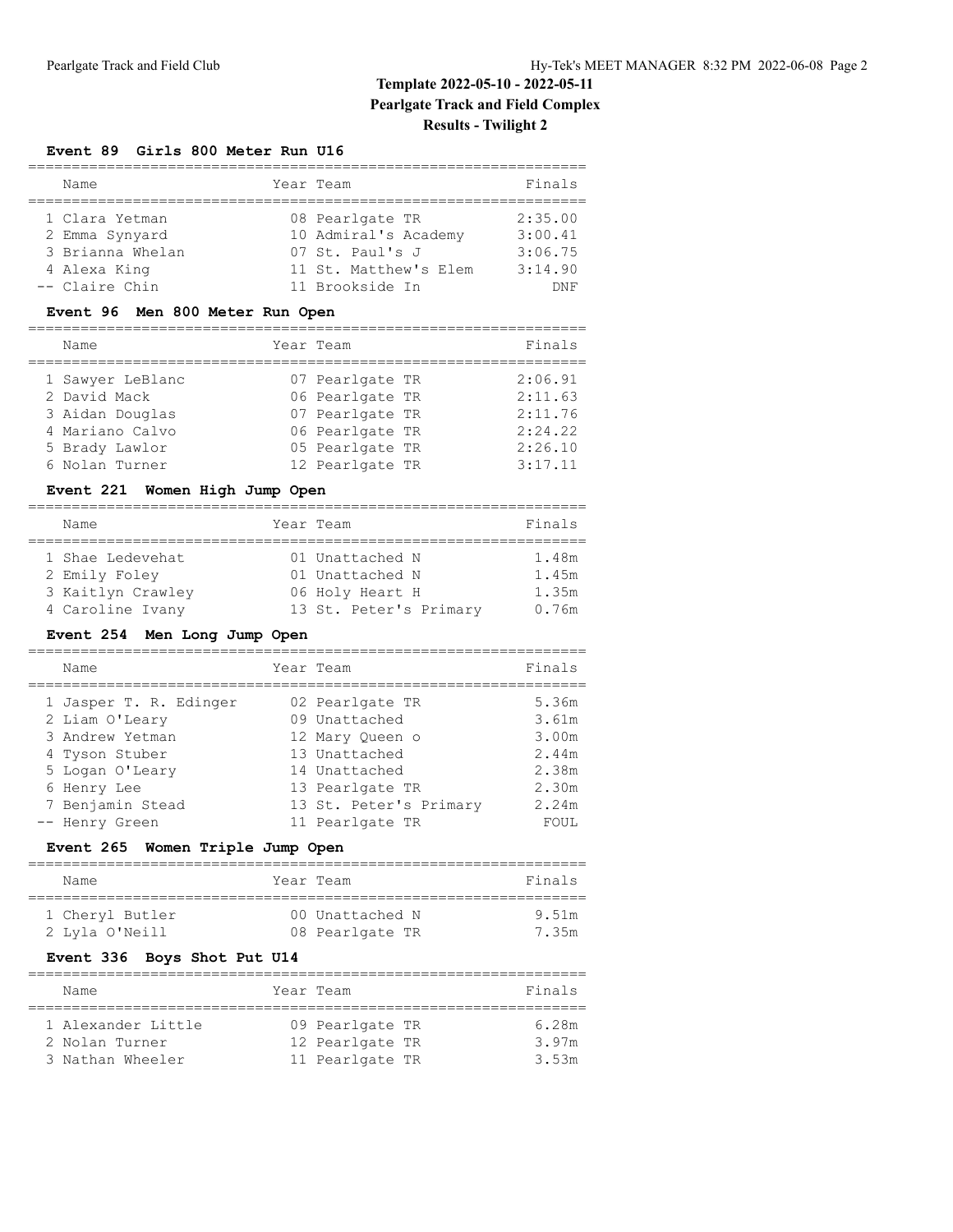# **Template 2022-05-10 - 2022-05-11 Pearlgate Track and Field Complex Results - Twilight 2**

#### **Event 89 Girls 800 Meter Run U16**

| Name             | Year Team             | Finals  |
|------------------|-----------------------|---------|
|                  |                       |         |
| 1 Clara Yetman   | 08 Pearlgate TR       | 2:35.00 |
| 2 Emma Synyard   | 10 Admiral's Academy  | 3:00.41 |
| 3 Brianna Whelan | 07 St. Paul's J       | 3:06.75 |
| 4 Alexa King     | 11 St. Matthew's Elem | 3:14.90 |
| -- Claire Chin   | 11 Brookside In       | DNF     |

## **Event 96 Men 800 Meter Run Open**

| Name             | Year Team       | Finals  |
|------------------|-----------------|---------|
| 1 Sawyer LeBlanc | 07 Pearlgate TR | 2:06.91 |
| 2 David Mack     | 06 Pearlgate TR | 2:11.63 |
| 3 Aidan Douglas  | 07 Pearlgate TR | 2:11.76 |
| 4 Mariano Calvo  | 06 Pearlgate TR | 2:24.22 |
| 5 Brady Lawlor   | 05 Pearlgate TR | 2:26.10 |
| 6 Nolan Turner   | 12 Pearlgate TR | 3:17.11 |

## **Event 221 Women High Jump Open**

| Name              |  | Year Team              | Finals |  |  |  |
|-------------------|--|------------------------|--------|--|--|--|
|                   |  |                        |        |  |  |  |
| 1 Shae Ledevehat  |  | 01 Unattached N        | 1.48m  |  |  |  |
| 2 Emily Foley     |  | 01 Unattached N        | 1.45m  |  |  |  |
| 3 Kaitlyn Crawley |  | 06 Holy Heart H        | 1.35m  |  |  |  |
| 4 Caroline Ivany  |  | 13 St. Peter's Primary | 0.76m  |  |  |  |

#### **Event 254 Men Long Jump Open**

| Name                   | Year Team              | Finals |
|------------------------|------------------------|--------|
| 1 Jasper T. R. Edinger | 02 Pearlgate TR        | 5.36m  |
| 2 Liam O'Leary         | 09 Unattached          | 3.61m  |
| 3 Andrew Yetman        | 12 Mary Oueen o        | 3.00m  |
| 4 Tyson Stuber         | 13 Unattached          | 2.44m  |
| 5 Logan O'Leary        | 14 Unattached          | 2.38m  |
| 6 Henry Lee            | 13 Pearlgate TR        | 2.30m  |
| 7 Benjamin Stead       | 13 St. Peter's Primary | 2.24m  |
| -- Henry Green         | 11 Pearlgate TR        | FOUL   |

## **Event 265 Women Triple Jump Open**

| Name                              | Year Team                          | Finals         |
|-----------------------------------|------------------------------------|----------------|
| 1 Cheryl Butler<br>2 Lyla O'Neill | 00 Unattached N<br>08 Pearlgate TR | 9.51m<br>7.35m |

## **Event 336 Boys Shot Put U14**

| Name               |  | Year Team       |  | Finals |  |  |  |
|--------------------|--|-----------------|--|--------|--|--|--|
|                    |  |                 |  |        |  |  |  |
| 1 Alexander Little |  | 09 Pearlgate TR |  | 6.28m  |  |  |  |
| 2 Nolan Turner     |  | 12 Pearlgate TR |  | 3.97m  |  |  |  |
| 3 Nathan Wheeler   |  | 11 Pearlgate TR |  | 3.53m  |  |  |  |